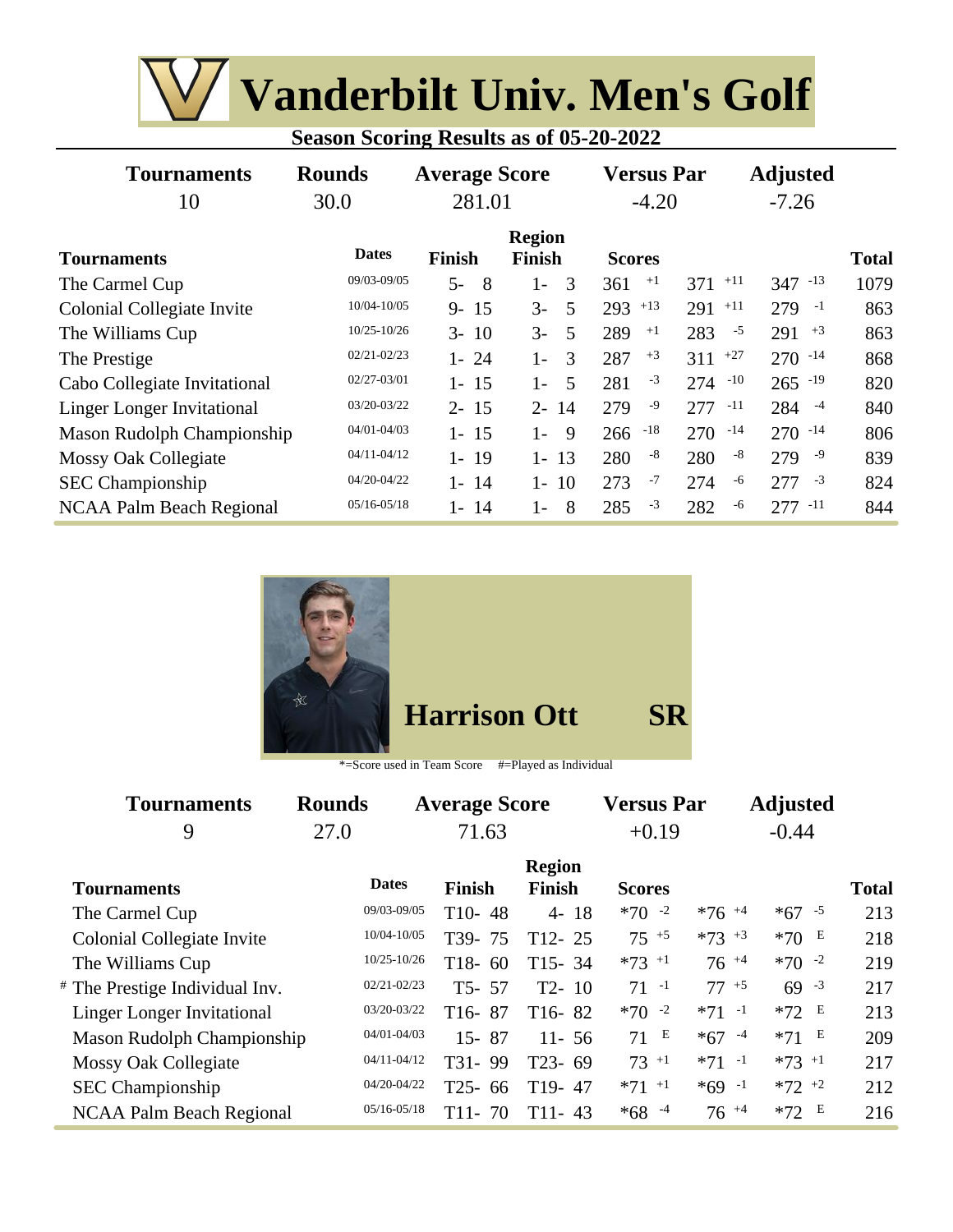| <b>W</b> Vanderbilt Univ. Men's Golf           |
|------------------------------------------------|
| <b>Season Scoring Results as of 05-20-2022</b> |

| <b>Tournaments</b><br>10          | <b>Rounds</b><br>30.0 | <b>Average Score</b><br>281.01 |                         | <b>Versus Par</b><br>$-4.20$ |              | <b>Adjusted</b><br>$-7.26$ |              |
|-----------------------------------|-----------------------|--------------------------------|-------------------------|------------------------------|--------------|----------------------------|--------------|
| <b>Tournaments</b>                | <b>Dates</b>          | <b>Finish</b>                  | <b>Region</b><br>Finish | <b>Scores</b>                |              |                            | <b>Total</b> |
| The Carmel Cup                    | 09/03-09/05           | $5-$<br>- 8                    | 3<br>$1-$               | $+1$<br>361                  | $+11$<br>371 | $347 - 13$                 | 1079         |
| Colonial Collegiate Invite        | 10/04-10/05           | $9 - 15$                       | $3-$<br>.5              | $293$ +13                    | $+11$<br>291 | $279 - 1$                  | 863          |
| The Williams Cup                  | $10/25 - 10/26$       | $3 - 10$                       | $3-$<br>5               | 289<br>$+1$                  | 283<br>$-5$  | $291 + 3$                  | 863          |
| The Prestige                      | $02/21 - 02/23$       | $1 - 24$                       | 3<br>$1 -$              | $+3$<br>287                  | $+27$<br>311 | $270 - 14$                 | 868          |
| Cabo Collegiate Invitational      | 02/27-03/01           | $1 - 15$                       | $1 -$<br>-5             | $-3$<br>281                  | $-10$<br>274 | $265 - 19$                 | 820          |
| <b>Linger Longer Invitational</b> | 03/20-03/22           | $2 - 15$                       | $2 - 14$                | -9<br>279                    | $-11$<br>277 | $284 - 4$                  | 840          |
| <b>Mason Rudolph Championship</b> | 04/01-04/03           | $1 - 15$                       | $1 -$<br>- 9            | $-18$<br>266                 | $-14$<br>270 | $270 - 14$                 | 806          |
| <b>Mossy Oak Collegiate</b>       | $04/11 - 04/12$       | $1 - 19$                       | $1 - 13$                | $-8$<br>280                  | $-8$<br>280  | $279 - 9$                  | 839          |
| <b>SEC</b> Championship           | 04/20-04/22           | $1 - 14$                       | 10<br>$1 -$             | $-7$<br>273                  | -6<br>274    | $-3$<br>277                | 824          |
| NCAA Palm Beach Regional          | $05/16 - 05/18$       | 14<br>1-                       | -8<br>$1 -$             | $-3$<br>285                  | 282<br>-6    | $277 - 11$                 | 844          |



| *=Score used in Team Score |  | #=Played as Individual |
|----------------------------|--|------------------------|
|                            |  |                        |

| <b>Tournaments</b>                | <b>Rounds</b> |                 | <b>Average Score</b>    |                                | <b>Versus Par</b>   |                     | <b>Adjusted</b>     |              |
|-----------------------------------|---------------|-----------------|-------------------------|--------------------------------|---------------------|---------------------|---------------------|--------------|
| 9                                 | 27.0          |                 | 71.63                   |                                | $+0.19$             |                     | $-0.44$             |              |
| <b>Tournaments</b>                | <b>Dates</b>  |                 | <b>Finish</b>           | <b>Region</b><br><b>Finish</b> | <b>Scores</b>       |                     |                     | <b>Total</b> |
| The Carmel Cup                    |               | 09/03-09/05     | $T10-48$                | $4 - 18$                       | $*70 -2$            | $*76$ <sup>+4</sup> | $*67 - 5$           | 213          |
| Colonial Collegiate Invite        |               | 10/04-10/05     | T <sub>39</sub> -<br>75 | $T12 - 25$                     | $75^{+5}$           | $*73 + 3$           | *70 $E$             | 218          |
| The Williams Cup                  |               | $10/25 - 10/26$ | $T18-$<br>60            | $T15 - 34$                     | $*73$ <sup>+1</sup> | $76^{+4}$           | $*70 -2$            | 219          |
| # The Prestige Individual Inv.    |               | $02/21 - 02/23$ | $T5 - 57$               | $T2 - 10$                      | $71 - 1$            | $77 + 5$            | $69 - 3$            | 217          |
| <b>Linger Longer Invitational</b> |               | 03/20-03/22     | $T16-87$                | $T16-82$                       | $*70 - 2$           | $*71 -1$            | $*72$ E             | 213          |
| Mason Rudolph Championship        |               | $04/01 - 04/03$ | $15 - 87$               | $11 - 56$                      | $71$ E              | $*67 - 4$           | $*71$ E             | 209          |
| Mossy Oak Collegiate              |               | $04/11 - 04/12$ | T31-99                  | $T23 - 69$                     | $73 + 1$            | $*71 -1$            | $*73$ <sup>+1</sup> | 217          |
| <b>SEC</b> Championship           |               | 04/20-04/22     | $T25 - 66$              | T <sub>19</sub> -47            | $*71$ <sup>+1</sup> | $*69 -1$            | $*72$ +2            | 212          |
| <b>NCAA Palm Beach Regional</b>   |               | $05/16 - 05/18$ | $T11-$<br>70            | $T11-43$                       | $*68 - 4$           | $76^{+4}$           | $*72$ E             | 216          |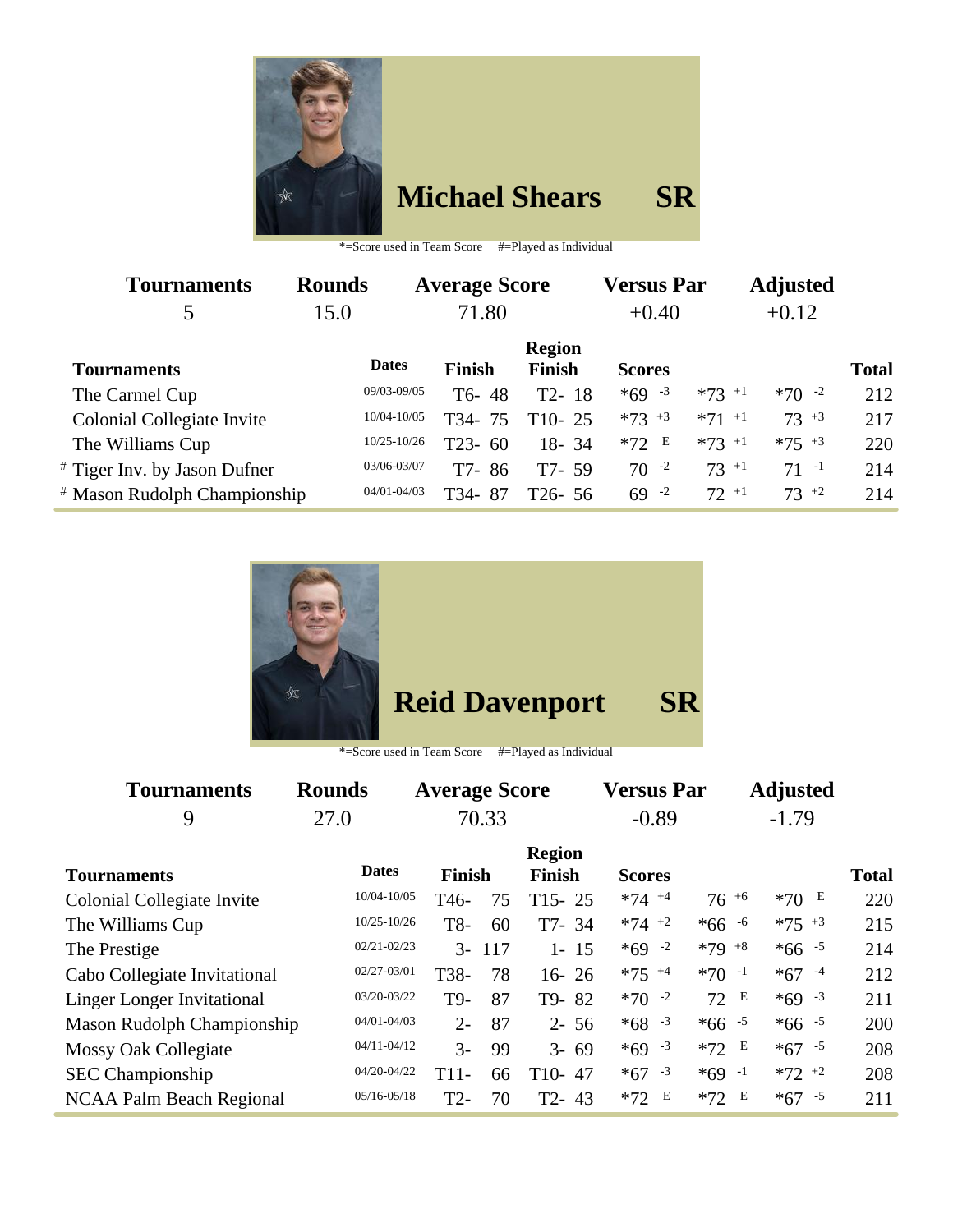

## **Michael Shears SR**

\*=Score used in Team Score #=Played as Individual

| <b>Tournaments</b>           | <b>Rounds</b> |                 | <b>Average Score</b> |                                | <b>Versus Par</b> |           | <b>Adjusted</b> |              |
|------------------------------|---------------|-----------------|----------------------|--------------------------------|-------------------|-----------|-----------------|--------------|
| 5                            | 15.0          |                 | 71.80                |                                | $+0.40$           |           | $+0.12$         |              |
| <b>Tournaments</b>           |               | <b>Dates</b>    | <b>Finish</b>        | <b>Region</b><br><b>Finish</b> | <b>Scores</b>     |           |                 | <b>Total</b> |
| The Carmel Cup               |               | 09/03-09/05     | $T6 - 48$            | $T2 - 18$                      | $*69 - 3$         | $*73$ +1  | $*70 -2$        | 212          |
| Colonial Collegiate Invite   |               | 10/04-10/05     | T34-75               | $T10-25$                       | $*73 + 3$         | $*71$ +1  | $73 + 3$        | 217          |
| The Williams Cup             |               | $10/25 - 10/26$ | $T23 - 60$           | 18-34                          | $*72 E$           | $*73 + 1$ | $*75 + 3$       | 220          |
| # Tiger Inv. by Jason Dufner |               | 03/06-03/07     | T7-<br>86            | T7- 59                         | $70 - 2$          | $73^{+1}$ | $71 - 1$        | 214          |
| # Mason Rudolph Championship |               | $04/01 - 04/03$ | 87<br>T34-           | T26-56                         | $69 - 2$          | $72+1$    | $73 + 2$        | 214          |



\*=Score used in Team Score #=Played as Individual

| <b>Tournaments</b>                | <b>Rounds</b>   | <b>Average Score</b> |       |               | <b>Versus Par</b> |            | <b>Adjusted</b> |              |
|-----------------------------------|-----------------|----------------------|-------|---------------|-------------------|------------|-----------------|--------------|
| 9                                 | 27.0            |                      | 70.33 |               | $-0.89$           |            | $-1.79$         |              |
|                                   | <b>Dates</b>    |                      |       | <b>Region</b> |                   |            |                 |              |
| Tournaments                       |                 | <b>Finish</b>        |       | Finish        | <b>Scores</b>     |            |                 | <b>Total</b> |
| Colonial Collegiate Invite        | 10/04-10/05     | T <sub>46</sub> -    | 75    | $T15 - 25$    | $*74 + 4$         | $76^{+6}$  | $*70E$          | 220          |
| The Williams Cup                  | $10/25 - 10/26$ | T8-                  | 60    | $T7 - 34$     | $*74$ +2          | $*66 - 6$  | $*75$ +3        | 215          |
| The Prestige                      | $02/21 - 02/23$ | $\mathcal{F}$        | 117   | $1 - 15$      | $*69 - 2$         | $*79 + 8$  | $*66 - 5$       | 214          |
| Cabo Collegiate Invitational      | 02/27-03/01     | T38-                 | 78    | $16 - 26$     | $*75$ +4          | $*70 -1$   | $*67 - 4$       | 212          |
| <b>Linger Longer Invitational</b> | 03/20-03/22     | T9-                  | 87    | T9-82         | $*70 -2$          | E<br>72    | $*69 - 3$       | 211          |
| <b>Mason Rudolph Championship</b> | $04/01 - 04/03$ | $2 -$                | 87    | $2 - 56$      | $*68 - 3$         | $*66 - 5$  | $*66 - 5$       | 200          |
| <b>Mossy Oak Collegiate</b>       | $04/11 - 04/12$ | $\overline{3}$ -     | 99    | $3 - 69$      | $*69 - 3$         | $*72$ E    | $*67 - 5$       | 208          |
| <b>SEC Championship</b>           | 04/20-04/22     | $T11-$               | 66    | $T10-47$      | $*67 - 3$         | $*69 -1$   | $*72 +2$        | 208          |
| <b>NCAA Palm Beach Regional</b>   | $05/16 - 05/18$ | $T2-$                | 70    | $T2 - 43$     | Е<br>$*72$        | E<br>$*72$ | $*67 - 5$       | 211          |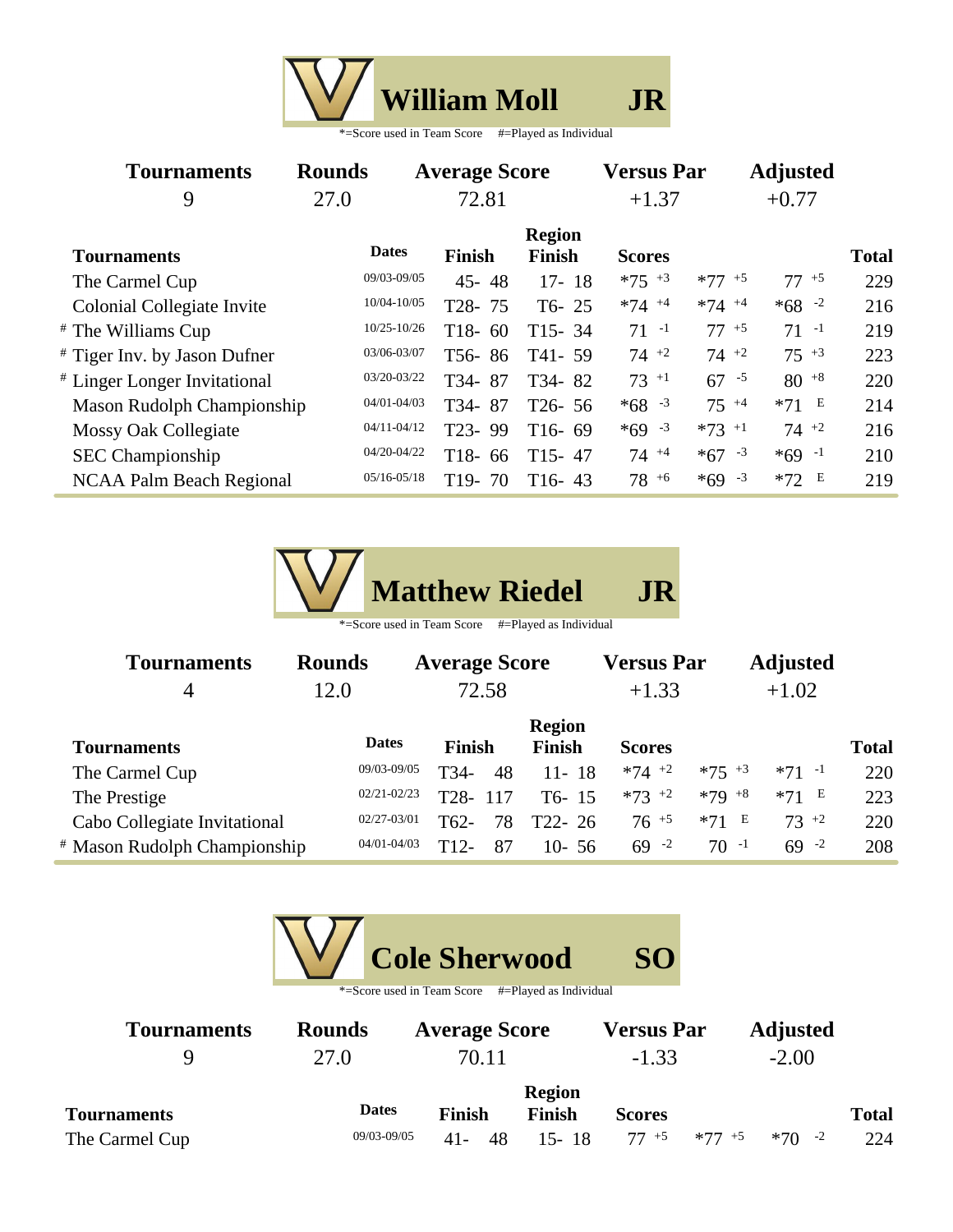|  | <b>William Moll</b>        |                        |  |
|--|----------------------------|------------------------|--|
|  | *=Score used in Team Score | #=Played as Individual |  |

| <b>Tournaments</b>                | <b>Rounds</b>   | <b>Average Score</b> |            |                                | <b>Versus Par</b>   |                     | <b>Adjusted</b> |              |
|-----------------------------------|-----------------|----------------------|------------|--------------------------------|---------------------|---------------------|-----------------|--------------|
| 9                                 | 27.0            | 72.81                |            |                                | $+1.37$             |                     | $+0.77$         |              |
| <b>Tournaments</b>                | <b>Dates</b>    | <b>Finish</b>        |            | <b>Region</b><br><b>Finish</b> | <b>Scores</b>       |                     |                 | <b>Total</b> |
| The Carmel Cup                    | 09/03-09/05     |                      | $45 - 48$  | $17 - 18$                      | $*75$ $*3$          | $*77 + 5$           | $77^{+5}$       | 229          |
| Colonial Collegiate Invite        | 10/04-10/05     | T28-75               |            | $T6 - 25$                      | $*74$ <sup>+4</sup> | $*74$ <sup>+4</sup> | $*68 - 2$       | 216          |
| # The Williams Cup                | 10/25-10/26     | $T18-$               | 60         | $T15 - 34$                     | $71 - 1$            | $77 + 5$            | $71 - 1$        | 219          |
| # Tiger Inv. by Jason Dufner      | 03/06-03/07     |                      | T56-86     | $T41 - 59$                     | $74 +2$             | $74 +2$             | $75^{+3}$       | 223          |
| # Linger Longer Invitational      | 03/20-03/22     | T34-87               |            | T34-82                         | $73^{+1}$           | $67 - 5$            | $80^{+8}$       | 220          |
| <b>Mason Rudolph Championship</b> | 04/01-04/03     | T34-87               |            | $T26 - 56$                     | $*68 - 3$           | $75^{+4}$           | $*71$ E         | 214          |
| Mossy Oak Collegiate              | $04/11 - 04/12$ | T23-99               |            | $T16-69$                       | $*69 - 3$           | $*73$ +1            | $74 +2$         | 216          |
| <b>SEC</b> Championship           | 04/20-04/22     | T <sub>18</sub> -    | 66         | $T15 - 47$                     | $74^{+4}$           | $*67 - 3$           | $*69 -1$        | 210          |
| NCAA Palm Beach Regional          | $05/16 - 05/18$ |                      | $T19 - 70$ | $T16-43$                       | $78^{+6}$           | $*69 - 3$           | $*72 E$         | 219          |



| <b>Tournaments</b>           | <b>Rounds</b>   | <b>Average Score</b> |                    | <b>Versus Par</b> |            | <b>Adjusted</b> |              |
|------------------------------|-----------------|----------------------|--------------------|-------------------|------------|-----------------|--------------|
| $\overline{4}$               | 12.0            | 72.58                |                    | $+1.33$           |            | $+1.02$         |              |
|                              |                 |                      | <b>Region</b>      |                   |            |                 |              |
| <b>Tournaments</b>           | <b>Dates</b>    | <b>Finish</b>        | <b>Finish</b>      | <b>Scores</b>     |            |                 | <b>Total</b> |
| The Carmel Cup               | 09/03-09/05     | T34-<br>48           | $11 - 18$          | $*74$ +2          | $*75$ +3   | $*71 -1$        | 220          |
| The Prestige                 | $02/21 - 02/23$ | T28-<br>117          | T <sub>6</sub> -15 | $*73$ +2          | $*79 + 8$  | $*71$ E         | 223          |
| Cabo Collegiate Invitational | $02/27 - 03/01$ | T62-<br>78           | T <sub>22</sub> 26 | $76^{+5}$         | E<br>$*71$ | $73 + 2$        | 220          |
| # Mason Rudolph Championship | $04/01 - 04/03$ | T12-<br>87           | $10 - 56$          | $69 - 2$          | $70 - 1$   | $69 - 2$        | 208          |

|                    |                 | <b>Cole Sherwood</b>       |                        | <b>SO</b>         |           |                 |              |
|--------------------|-----------------|----------------------------|------------------------|-------------------|-----------|-----------------|--------------|
|                    |                 | *=Score used in Team Score | #=Played as Individual |                   |           |                 |              |
| <b>Tournaments</b> | <b>Rounds</b>   | <b>Average Score</b>       |                        | <b>Versus Par</b> |           | <b>Adjusted</b> |              |
| 9                  | 27.0            | 70.11                      |                        | $-1.33$           |           | $-2.00$         |              |
|                    |                 |                            | <b>Region</b>          |                   |           |                 |              |
| <b>Tournaments</b> | <b>Dates</b>    | <b>Finish</b>              | <b>Finish</b>          | <b>Scores</b>     |           |                 | <b>Total</b> |
| The Carmel Cup     | $09/03 - 09/05$ | 41-                        | $15 - 18$              | $77^{+5}$         | $*77 + 5$ | $-2$<br>$*70$   | 224          |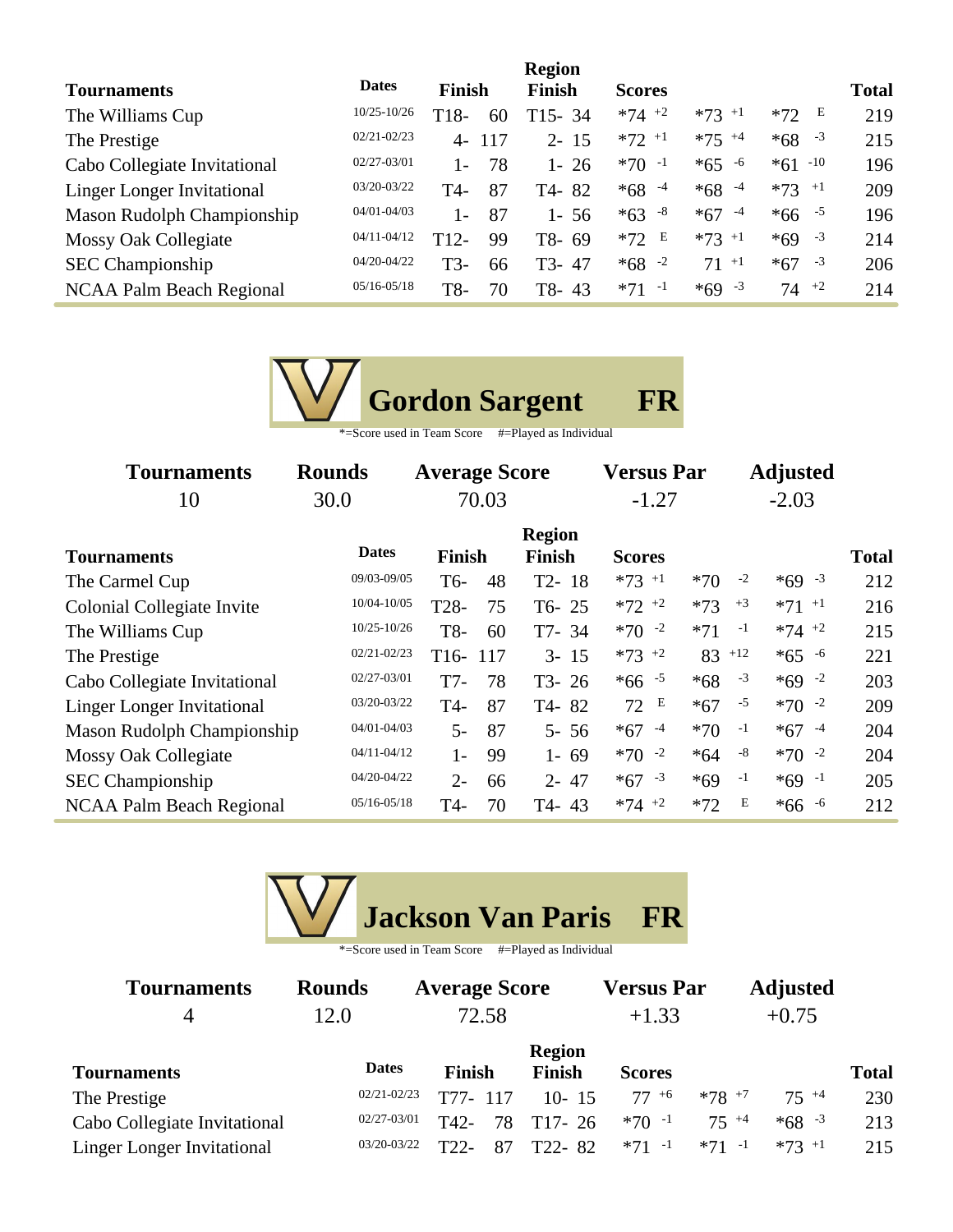|                                   |                 |        |     | <b>Region</b> |               |                     |                     |              |
|-----------------------------------|-----------------|--------|-----|---------------|---------------|---------------------|---------------------|--------------|
| <b>Tournaments</b>                | <b>Dates</b>    | Finish |     | Finish        | <b>Scores</b> |                     |                     | <b>Total</b> |
| The Williams Cup                  | $10/25 - 10/26$ | T18-   | 60  | $T15 - 34$    | $*74$ +2      | $*73$ <sup>+1</sup> | E<br>$*72$          | 219          |
| The Prestige                      | $02/21 - 02/23$ | $4-$   | 117 | $2 - 15$      | $*72$ +1      | $*75$ +4            | $*68 - 3$           | 215          |
| Cabo Collegiate Invitational      | $02/27 - 03/01$ | $1 -$  | 78  | 26<br>1 -     | $*70 -1$      | $*65 - 6$           | $*61 - 10$          | 196          |
| <b>Linger Longer Invitational</b> | 03/20-03/22     | T4-    | 87  | T4-82         | $*68 - 4$     | $*68 - 4$           | $*73$ <sup>+1</sup> | 209          |
| Mason Rudolph Championship        | $04/01 - 04/03$ | $1 -$  | 87  | 1-56          | $*63 - 8$     | $*67 - 4$           | $*66 - 5$           | 196          |
| <b>Mossy Oak Collegiate</b>       | $04/11 - 04/12$ | $T12-$ | 99  | T8-69         | $*72 E$       | $*73$ +1            | $*69 - 3$           | 214          |
| <b>SEC</b> Championship           | $04/20 - 04/22$ | T3-    | 66  | T3-47         | $*68 - 2$     | $71^{+1}$           | $*67 - 3$           | 206          |
| NCAA Palm Beach Regional          | $05/16 - 05/18$ | T8-    | 70  | T8-43         | $*71 -1$      | $*69 - 3$           | $74 +2$             | 214          |

| <b>Gordon Sargent</b>                                                        |  |
|------------------------------------------------------------------------------|--|
| $\Phi$ . Considered to Theory Consider $\mu$ . Discovering the field for the |  |

| *=Score used in Team Score | #=Played as Individual |
|----------------------------|------------------------|
|----------------------------|------------------------|

| <b>Tournaments</b>                | <b>Rounds</b>   | <b>Average Score</b>  |    |                                | <b>Versus Par</b> |       | <b>Adjusted</b> |                     |              |
|-----------------------------------|-----------------|-----------------------|----|--------------------------------|-------------------|-------|-----------------|---------------------|--------------|
| 10                                | 30.0            | 70.03                 |    |                                | $-1.27$           |       |                 |                     |              |
| <b>Tournaments</b>                | <b>Dates</b>    | Finish                |    | <b>Region</b><br><b>Finish</b> | <b>Scores</b>     |       |                 |                     | <b>Total</b> |
| The Carmel Cup                    | 09/03-09/05     | T <sub>6</sub> -      | 48 | $T2 - 18$                      | $*73$ +1          | $*70$ | $-2$            | $*69 - 3$           | 212          |
| <b>Colonial Collegiate Invite</b> | 10/04-10/05     | T <sub>28</sub> -     | 75 | $T6 - 25$                      | $*72$ $*2$        | $*73$ | $+3$            | $*71$ <sup>+1</sup> | 216          |
| The Williams Cup                  | $10/25 - 10/26$ | T8-                   | 60 | T7-34                          | $*70 -2$          | $*71$ | $-1$            | $*74$ +2            | 215          |
| The Prestige                      | $02/21 - 02/23$ | T <sub>16</sub> - 117 |    | $3 - 15$                       | $*73$ +2          |       | $83$ +12        | $*65 - 6$           | 221          |
| Cabo Collegiate Invitational      | 02/27-03/01     | T7-                   | 78 | $T3 - 26$                      | $*66 - 5$         | $*68$ | $-3$            | $*69 - 2$           | 203          |
| <b>Linger Longer Invitational</b> | $03/20 - 03/22$ | T4-                   | 87 | T4-82                          | E<br>72           | $*67$ | $-5$            | $*70 -2$            | 209          |
| Mason Rudolph Championship        | 04/01-04/03     | $5-$                  | 87 | $5 - 56$                       | $*67$<br>$-4$     | $*70$ | $-1$            | $*67 - 4$           | 204          |
| Mossy Oak Collegiate              | $04/11 - 04/12$ | $1-$                  | 99 | $1 - 69$                       | $*70 -2$          | $*64$ | $-8$            | $*70 - 2$           | 204          |
| <b>SEC</b> Championship           | 04/20-04/22     | $2 -$                 | 66 | $2 - 47$                       | $-3$<br>$*67$     | $*69$ | $-1$            | $*69 -1$            | 205          |
| <b>NCAA Palm Beach Regional</b>   | $05/16 - 05/18$ | T4-                   | 70 | $T4 - 43$                      | $*74 +2$          | $*72$ | Е               | $*66 - 6$           | 212          |



| <b>Tournaments</b>                | <b>Rounds</b>   | <b>Average Score</b> |               | <b>Versus Par</b> |          | <b>Adjusted</b> |              |  |
|-----------------------------------|-----------------|----------------------|---------------|-------------------|----------|-----------------|--------------|--|
| 4                                 | 12.0            | 72.58                |               | $+1.33$           |          | $+0.75$         |              |  |
|                                   |                 |                      | <b>Region</b> |                   |          |                 |              |  |
| <b>Tournaments</b>                | <b>Dates</b>    | <b>Finish</b>        | <b>Finish</b> | <b>Scores</b>     |          |                 | <b>Total</b> |  |
| The Prestige                      | $02/21 - 02/23$ | T77-<br>117          | $10 - 15$     | $77+6$            | $*78$ +7 | $75 + 4$        | 230          |  |
| Cabo Collegiate Invitational      | $02/27 - 03/01$ | T42-<br>78           | $T17-26$      | $*70 -1$          | $75 + 4$ | $*68 - 3$       | 213          |  |
| <b>Linger Longer Invitational</b> | 03/20-03/22     | T22<br>-87           | T22-82        | $*71 -1$          | $*71 -1$ | $*73$ +1        | 215          |  |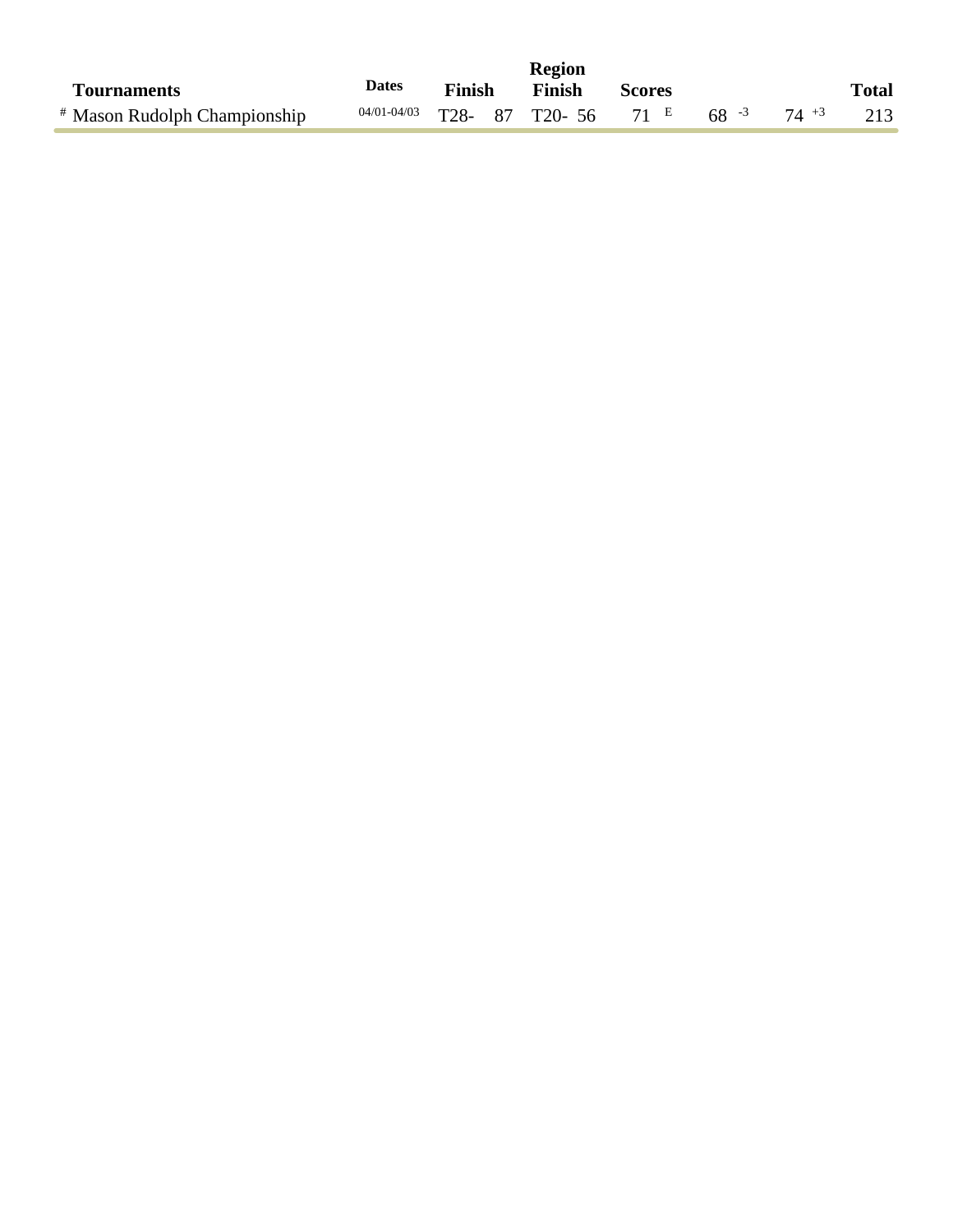|                                         |              |               | Region                                         |               |  |              |
|-----------------------------------------|--------------|---------------|------------------------------------------------|---------------|--|--------------|
| <b>Tournaments</b>                      | <b>Dates</b> | <b>Finish</b> | Finish                                         | <b>Scores</b> |  | <b>Total</b> |
| <sup>#</sup> Mason Rudolph Championship |              |               | $04/01-04/03$ T28- 87 T20- 56 71 E 68 -3 74 +3 |               |  | 213          |